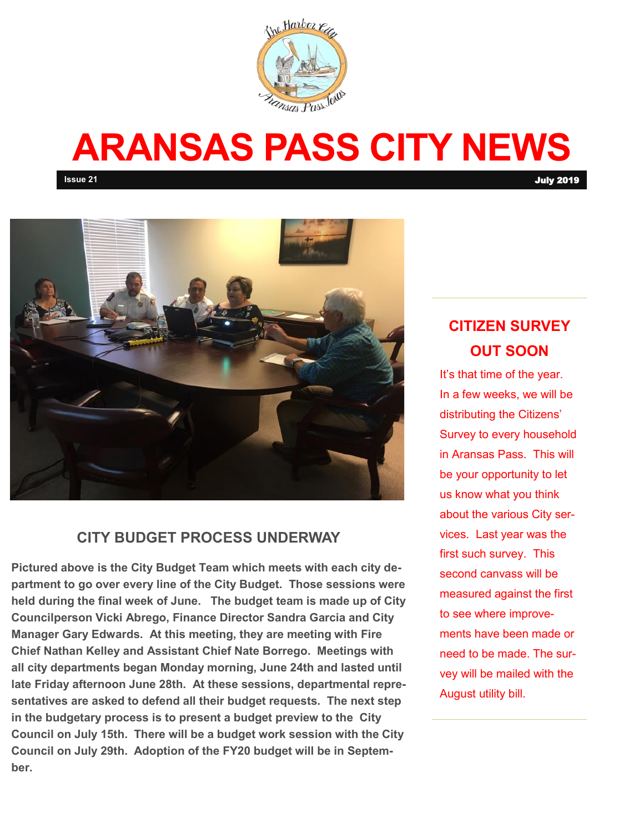

# **ARANSAS PASS CITY NEWS**

**Issue 21** July 2019



#### **CITY BUDGET PROCESS UNDERWAY**

**Pictured above is the City Budget Team which meets with each city department to go over every line of the City Budget. Those sessions were held during the final week of June. The budget team is made up of City Councilperson Vicki Abrego, Finance Director Sandra Garcia and City Manager Gary Edwards. At this meeting, they are meeting with Fire Chief Nathan Kelley and Assistant Chief Nate Borrego. Meetings with all city departments began Monday morning, June 24th and lasted until late Friday afternoon June 28th. At these sessions, departmental representatives are asked to defend all their budget requests. The next step in the budgetary process is to present a budget preview to the City Council on July 15th. There will be a budget work session with the City Council on July 29th. Adoption of the FY20 budget will be in September.** 

### **CITIZEN SURVEY OUT SOON**

It's that time of the year. In a few weeks, we will be distributing the Citizens' Survey to every household in Aransas Pass. This will be your opportunity to let us know what you think about the various City services. Last year was the first such survey. This second canvass will be measured against the first to see where improvements have been made or need to be made. The survey will be mailed with the August utility bill.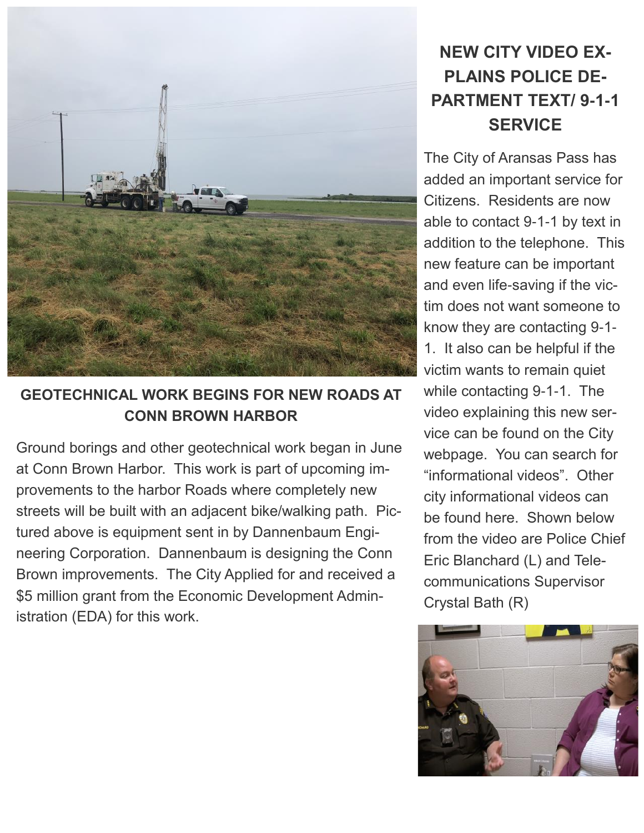

#### **GEOTECHNICAL WORK BEGINS FOR NEW ROADS AT CONN BROWN HARBOR**

Ground borings and other geotechnical work began in June at Conn Brown Harbor. This work is part of upcoming improvements to the harbor Roads where completely new streets will be built with an adjacent bike/walking path. Pictured above is equipment sent in by Dannenbaum Engineering Corporation. Dannenbaum is designing the Conn Brown improvements. The City Applied for and received a \$5 million grant from the Economic Development Administration (EDA) for this work.

# **NEW CITY VIDEO EX-PLAINS POLICE DE-PARTMENT TEXT/ 9-1-1 SERVICE**

The City of Aransas Pass has added an important service for Citizens. Residents are now able to contact 9-1-1 by text in addition to the telephone. This new feature can be important and even life-saving if the victim does not want someone to know they are contacting 9-1- 1. It also can be helpful if the victim wants to remain quiet while contacting 9-1-1. The video explaining this new service can be found on the City webpage. You can search for "informational videos". Other city informational videos can be found here. Shown below from the video are Police Chief Eric Blanchard (L) and Telecommunications Supervisor Crystal Bath (R)

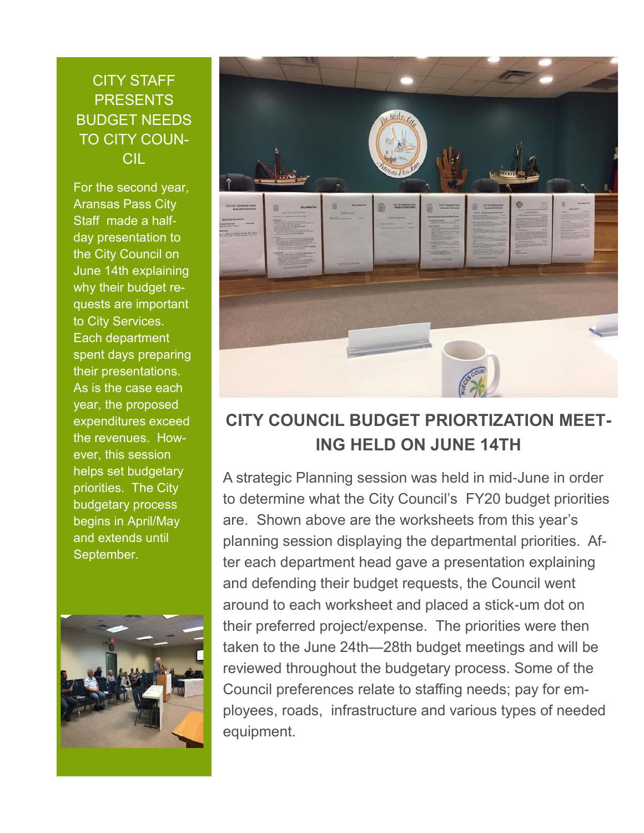#### CITY STAFF **PRESENTS** BUDGET NEEDS TO CITY COUN-CIL

For the second year, Aransas Pass City Staff made a halfday presentation to the City Council on June 14th explaining why their budget requests are important to City Services. Each department spent days preparing their presentations. As is the case each year, the proposed expenditures exceed the revenues. However, this session helps set budgetary priorities. The City budgetary process begins in April/May and extends until September.





## **CITY COUNCIL BUDGET PRIORTIZATION MEET-ING HELD ON JUNE 14TH**

A strategic Planning session was held in mid-June in order to determine what the City Council's FY20 budget priorities are. Shown above are the worksheets from this year's planning session displaying the departmental priorities. After each department head gave a presentation explaining and defending their budget requests, the Council went around to each worksheet and placed a stick-um dot on their preferred project/expense. The priorities were then taken to the June 24th—28th budget meetings and will be reviewed throughout the budgetary process. Some of the Council preferences relate to staffing needs; pay for employees, roads, infrastructure and various types of needed equipment.